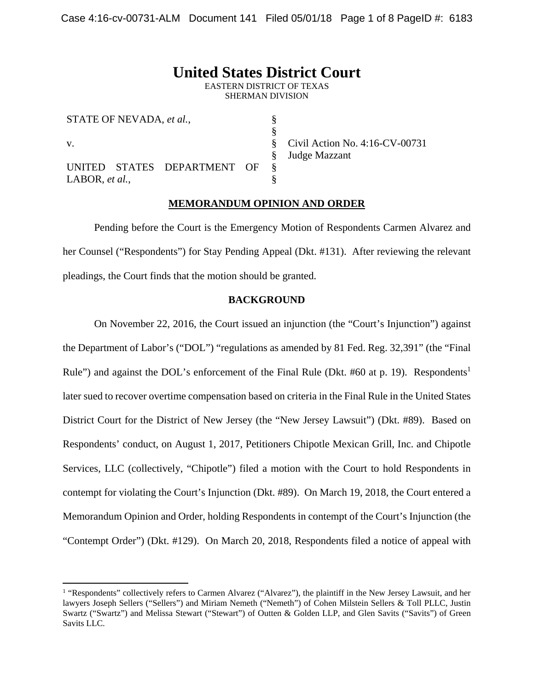# **United States District Court**

EASTERN DISTRICT OF TEXAS SHERMAN DIVISION

> § § §

| STATE OF NEVADA, et al., |  |                             |  |  |
|--------------------------|--|-----------------------------|--|--|
|                          |  |                             |  |  |
| $V_{\rm{L}}$             |  |                             |  |  |
|                          |  |                             |  |  |
|                          |  | UNITED STATES DEPARTMENT OF |  |  |
| LABOR, $et al.,$         |  |                             |  |  |

1

Civil Action No. 4:16-CV-00731 Judge Mazzant

# **MEMORANDUM OPINION AND ORDER**

 Pending before the Court is the Emergency Motion of Respondents Carmen Alvarez and her Counsel ("Respondents") for Stay Pending Appeal (Dkt. #131). After reviewing the relevant pleadings, the Court finds that the motion should be granted.

## **BACKGROUND**

On November 22, 2016, the Court issued an injunction (the "Court's Injunction") against the Department of Labor's ("DOL") "regulations as amended by 81 Fed. Reg. 32,391" (the "Final Rule") and against the DOL's enforcement of the Final Rule (Dkt. #60 at p. 19). Respondents<sup>1</sup> later sued to recover overtime compensation based on criteria in the Final Rule in the United States District Court for the District of New Jersey (the "New Jersey Lawsuit") (Dkt. #89). Based on Respondents' conduct, on August 1, 2017, Petitioners Chipotle Mexican Grill, Inc. and Chipotle Services, LLC (collectively, "Chipotle") filed a motion with the Court to hold Respondents in contempt for violating the Court's Injunction (Dkt. #89). On March 19, 2018, the Court entered a Memorandum Opinion and Order, holding Respondents in contempt of the Court's Injunction (the "Contempt Order") (Dkt. #129). On March 20, 2018, Respondents filed a notice of appeal with

<sup>&</sup>lt;sup>1</sup> "Respondents" collectively refers to Carmen Alvarez ("Alvarez"), the plaintiff in the New Jersey Lawsuit, and her lawyers Joseph Sellers ("Sellers") and Miriam Nemeth ("Nemeth") of Cohen Milstein Sellers & Toll PLLC, Justin Swartz ("Swartz") and Melissa Stewart ("Stewart") of Outten & Golden LLP, and Glen Savits ("Savits") of Green Savits LLC.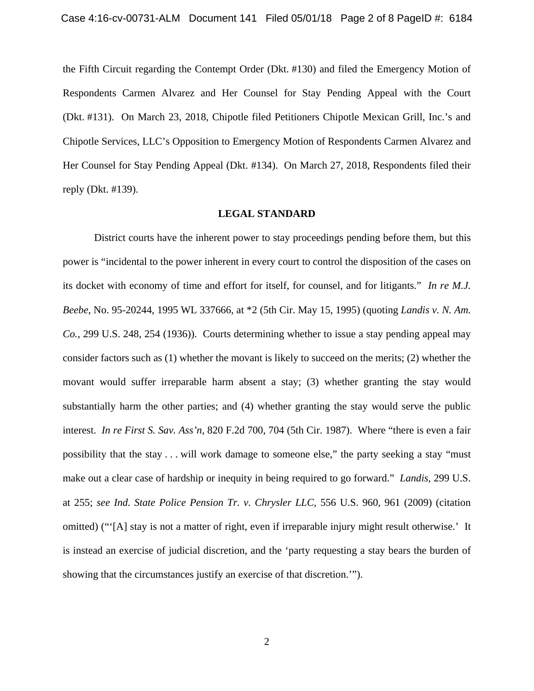the Fifth Circuit regarding the Contempt Order (Dkt. #130) and filed the Emergency Motion of Respondents Carmen Alvarez and Her Counsel for Stay Pending Appeal with the Court (Dkt. #131). On March 23, 2018, Chipotle filed Petitioners Chipotle Mexican Grill, Inc.'s and Chipotle Services, LLC's Opposition to Emergency Motion of Respondents Carmen Alvarez and Her Counsel for Stay Pending Appeal (Dkt. #134). On March 27, 2018, Respondents filed their reply (Dkt. #139).

## **LEGAL STANDARD**

District courts have the inherent power to stay proceedings pending before them, but this power is "incidental to the power inherent in every court to control the disposition of the cases on its docket with economy of time and effort for itself, for counsel, and for litigants." *In re M.J. Beebe*, No. 95-20244, 1995 WL 337666, at \*2 (5th Cir. May 15, 1995) (quoting *Landis v. N. Am. Co.*, 299 U.S. 248, 254 (1936)). Courts determining whether to issue a stay pending appeal may consider factors such as (1) whether the movant is likely to succeed on the merits; (2) whether the movant would suffer irreparable harm absent a stay; (3) whether granting the stay would substantially harm the other parties; and (4) whether granting the stay would serve the public interest. *In re First S. Sav. Ass'n*, 820 F.2d 700, 704 (5th Cir. 1987). Where "there is even a fair possibility that the stay . . . will work damage to someone else," the party seeking a stay "must make out a clear case of hardship or inequity in being required to go forward." *Landis*, 299 U.S. at 255; *see Ind. State Police Pension Tr. v. Chrysler LLC*, 556 U.S. 960, 961 (2009) (citation omitted) ("'[A] stay is not a matter of right, even if irreparable injury might result otherwise.' It is instead an exercise of judicial discretion, and the 'party requesting a stay bears the burden of showing that the circumstances justify an exercise of that discretion.'").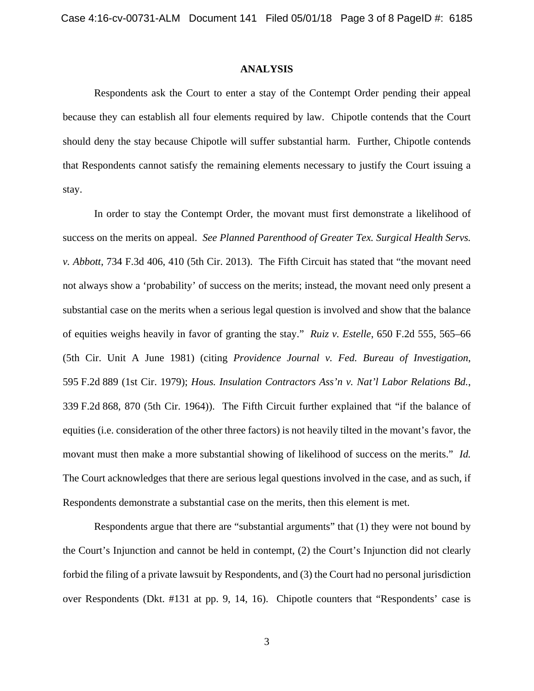## **ANALYSIS**

Respondents ask the Court to enter a stay of the Contempt Order pending their appeal because they can establish all four elements required by law. Chipotle contends that the Court should deny the stay because Chipotle will suffer substantial harm. Further, Chipotle contends that Respondents cannot satisfy the remaining elements necessary to justify the Court issuing a stay.

 In order to stay the Contempt Order, the movant must first demonstrate a likelihood of success on the merits on appeal. *See Planned Parenthood of Greater Tex. Surgical Health Servs. v. Abbott*, 734 F.3d 406, 410 (5th Cir. 2013). The Fifth Circuit has stated that "the movant need not always show a 'probability' of success on the merits; instead, the movant need only present a substantial case on the merits when a serious legal question is involved and show that the balance of equities weighs heavily in favor of granting the stay." *Ruiz v. Estelle*, 650 F.2d 555, 565–66 (5th Cir. Unit A June 1981) (citing *Providence Journal v. Fed. Bureau of Investigation*, 595 F.2d 889 (1st Cir. 1979); *Hous. Insulation Contractors Ass'n v. Nat'l Labor Relations Bd.*, 339 F.2d 868, 870 (5th Cir. 1964)). The Fifth Circuit further explained that "if the balance of equities (i.e. consideration of the other three factors) is not heavily tilted in the movant's favor, the movant must then make a more substantial showing of likelihood of success on the merits." *Id.*  The Court acknowledges that there are serious legal questions involved in the case, and as such, if Respondents demonstrate a substantial case on the merits, then this element is met.

 Respondents argue that there are "substantial arguments" that (1) they were not bound by the Court's Injunction and cannot be held in contempt, (2) the Court's Injunction did not clearly forbid the filing of a private lawsuit by Respondents, and (3) the Court had no personal jurisdiction over Respondents (Dkt. #131 at pp. 9, 14, 16). Chipotle counters that "Respondents' case is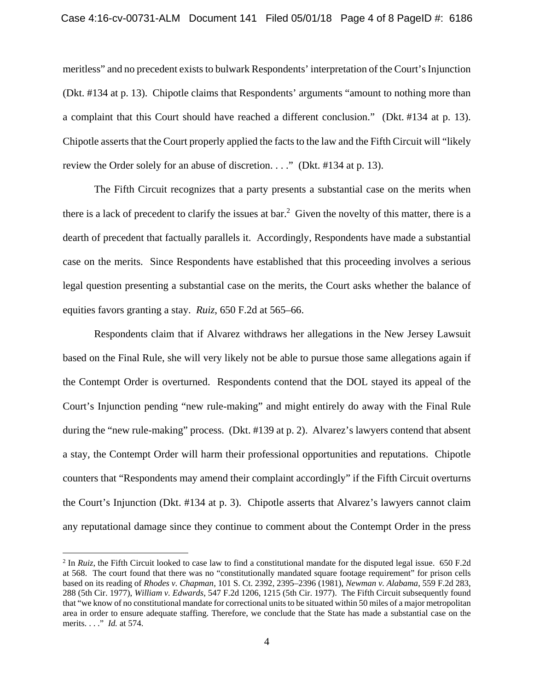meritless" and no precedent exists to bulwark Respondents' interpretation of the Court's Injunction (Dkt. #134 at p. 13). Chipotle claims that Respondents' arguments "amount to nothing more than a complaint that this Court should have reached a different conclusion." (Dkt. #134 at p. 13). Chipotle asserts that the Court properly applied the facts to the law and the Fifth Circuit will "likely review the Order solely for an abuse of discretion. . . ." (Dkt. #134 at p. 13).

The Fifth Circuit recognizes that a party presents a substantial case on the merits when there is a lack of precedent to clarify the issues at bar.<sup>2</sup> Given the novelty of this matter, there is a dearth of precedent that factually parallels it. Accordingly, Respondents have made a substantial case on the merits. Since Respondents have established that this proceeding involves a serious legal question presenting a substantial case on the merits, the Court asks whether the balance of equities favors granting a stay. *Ruiz*, 650 F.2d at 565–66.

Respondents claim that if Alvarez withdraws her allegations in the New Jersey Lawsuit based on the Final Rule, she will very likely not be able to pursue those same allegations again if the Contempt Order is overturned. Respondents contend that the DOL stayed its appeal of the Court's Injunction pending "new rule-making" and might entirely do away with the Final Rule during the "new rule-making" process. (Dkt. #139 at p. 2). Alvarez's lawyers contend that absent a stay, the Contempt Order will harm their professional opportunities and reputations. Chipotle counters that "Respondents may amend their complaint accordingly" if the Fifth Circuit overturns the Court's Injunction (Dkt. #134 at p. 3). Chipotle asserts that Alvarez's lawyers cannot claim any reputational damage since they continue to comment about the Contempt Order in the press

1

<sup>&</sup>lt;sup>2</sup> In *Ruiz*, the Fifth Circuit looked to case law to find a constitutional mandate for the disputed legal issue. 650 F.2d at 568. The court found that there was no "constitutionally mandated square footage requirement" for prison cells based on its reading of *Rhodes v. Chapman*, 101 S. Ct. 2392, 2395–2396 (1981), *Newman v. Alabama*, 559 F.2d 283, 288 (5th Cir. 1977), *William v. Edwards*, 547 F.2d 1206, 1215 (5th Cir. 1977). The Fifth Circuit subsequently found that "we know of no constitutional mandate for correctional units to be situated within 50 miles of a major metropolitan area in order to ensure adequate staffing. Therefore, we conclude that the State has made a substantial case on the merits. . . ." *Id.* at 574.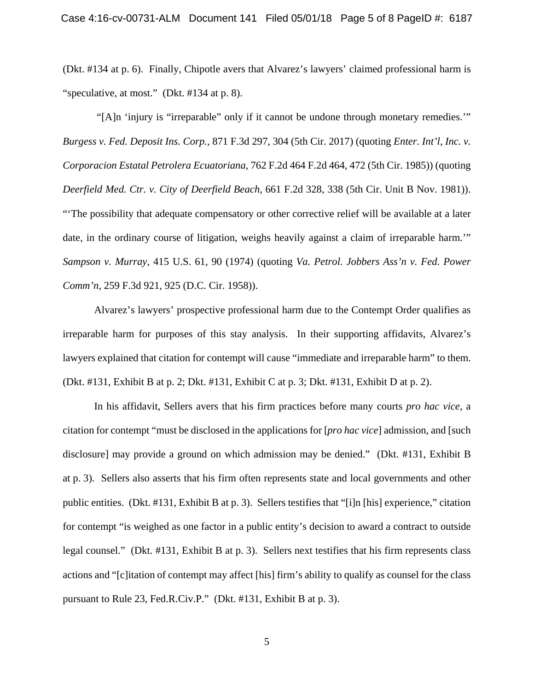(Dkt. #134 at p. 6). Finally, Chipotle avers that Alvarez's lawyers' claimed professional harm is "speculative, at most." (Dkt. #134 at p. 8).

 "[A]n 'injury is "irreparable" only if it cannot be undone through monetary remedies.'" *Burgess v. Fed. Deposit Ins. Corp.,* 871 F.3d 297, 304 (5th Cir. 2017) (quoting *Enter. Int'l, Inc. v. Corporacion Estatal Petrolera Ecuatoriana*, 762 F.2d 464 F.2d 464, 472 (5th Cir. 1985)) (quoting *Deerfield Med. Ctr. v. City of Deerfield Beach*, 661 F.2d 328, 338 (5th Cir. Unit B Nov. 1981)). "'The possibility that adequate compensatory or other corrective relief will be available at a later date, in the ordinary course of litigation, weighs heavily against a claim of irreparable harm." *Sampson v. Murray*, 415 U.S. 61, 90 (1974) (quoting *Va. Petrol. Jobbers Ass'n v. Fed. Power Comm'n*, 259 F.3d 921, 925 (D.C. Cir. 1958)).

Alvarez's lawyers' prospective professional harm due to the Contempt Order qualifies as irreparable harm for purposes of this stay analysis. In their supporting affidavits, Alvarez's lawyers explained that citation for contempt will cause "immediate and irreparable harm" to them. (Dkt. #131, Exhibit B at p. 2; Dkt. #131, Exhibit C at p. 3; Dkt. #131, Exhibit D at p. 2).

In his affidavit, Sellers avers that his firm practices before many courts *pro hac vice*, a citation for contempt "must be disclosed in the applications for [*pro hac vice*] admission, and [such disclosure] may provide a ground on which admission may be denied." (Dkt. #131, Exhibit B at p. 3). Sellers also asserts that his firm often represents state and local governments and other public entities. (Dkt. #131, Exhibit B at p. 3). Sellers testifies that "[i]n [his] experience," citation for contempt "is weighed as one factor in a public entity's decision to award a contract to outside legal counsel." (Dkt. #131, Exhibit B at p. 3). Sellers next testifies that his firm represents class actions and "[c]itation of contempt may affect [his] firm's ability to qualify as counsel for the class pursuant to Rule 23, Fed.R.Civ.P." (Dkt. #131, Exhibit B at p. 3).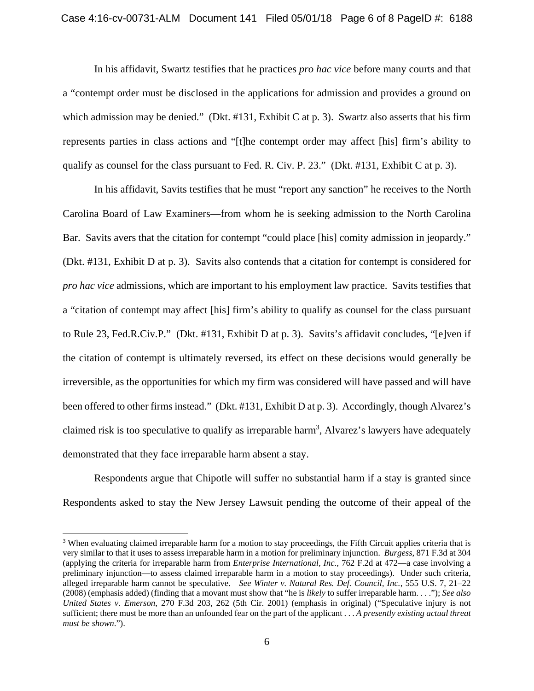In his affidavit, Swartz testifies that he practices *pro hac vice* before many courts and that a "contempt order must be disclosed in the applications for admission and provides a ground on which admission may be denied." (Dkt. #131, Exhibit C at p. 3). Swartz also asserts that his firm represents parties in class actions and "[t]he contempt order may affect [his] firm's ability to qualify as counsel for the class pursuant to Fed. R. Civ. P. 23." (Dkt. #131, Exhibit C at p. 3).

In his affidavit, Savits testifies that he must "report any sanction" he receives to the North Carolina Board of Law Examiners—from whom he is seeking admission to the North Carolina Bar. Savits avers that the citation for contempt "could place [his] comity admission in jeopardy." (Dkt. #131, Exhibit D at p. 3). Savits also contends that a citation for contempt is considered for *pro hac vice* admissions, which are important to his employment law practice. Savits testifies that a "citation of contempt may affect [his] firm's ability to qualify as counsel for the class pursuant to Rule 23, Fed.R.Civ.P." (Dkt. #131, Exhibit D at p. 3). Savits's affidavit concludes, "[e]ven if the citation of contempt is ultimately reversed, its effect on these decisions would generally be irreversible, as the opportunities for which my firm was considered will have passed and will have been offered to other firms instead." (Dkt. #131, Exhibit D at p. 3). Accordingly, though Alvarez's claimed risk is too speculative to qualify as irreparable harm<sup>3</sup>, Alvarez's lawyers have adequately demonstrated that they face irreparable harm absent a stay.

 Respondents argue that Chipotle will suffer no substantial harm if a stay is granted since Respondents asked to stay the New Jersey Lawsuit pending the outcome of their appeal of the

<u>.</u>

<sup>&</sup>lt;sup>3</sup> When evaluating claimed irreparable harm for a motion to stay proceedings, the Fifth Circuit applies criteria that is very similar to that it uses to assess irreparable harm in a motion for preliminary injunction. *Burgess*, 871 F.3d at 304 (applying the criteria for irreparable harm from *Enterprise International, Inc.*, 762 F.2d at 472—a case involving a preliminary injunction—to assess claimed irreparable harm in a motion to stay proceedings). Under such criteria, alleged irreparable harm cannot be speculative. *See Winter v. Natural Res. Def. Council, Inc.*, 555 U.S. 7, 21–22 (2008) (emphasis added) (finding that a movant must show that "he is *likely* to suffer irreparable harm. . . ."); *See also United States v. Emerson*, 270 F.3d 203, 262 (5th Cir. 2001) (emphasis in original) ("Speculative injury is not sufficient; there must be more than an unfounded fear on the part of the applicant . . . *A presently existing actual threat must be shown*.").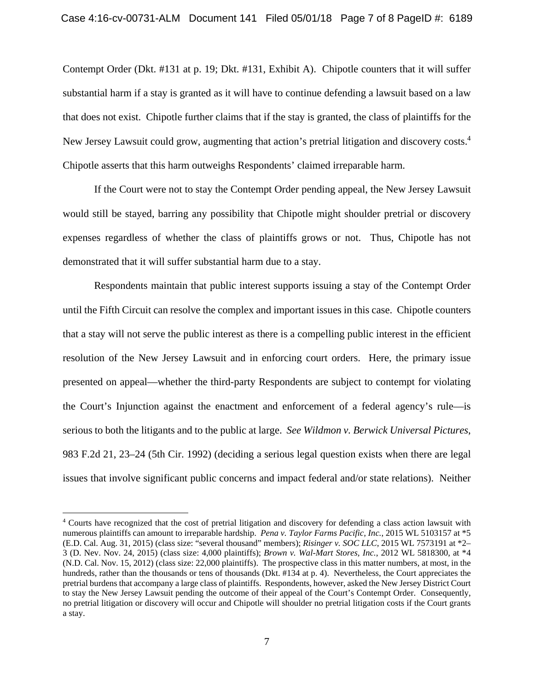Contempt Order (Dkt. #131 at p. 19; Dkt. #131, Exhibit A). Chipotle counters that it will suffer substantial harm if a stay is granted as it will have to continue defending a lawsuit based on a law that does not exist. Chipotle further claims that if the stay is granted, the class of plaintiffs for the New Jersey Lawsuit could grow, augmenting that action's pretrial litigation and discovery costs.<sup>4</sup> Chipotle asserts that this harm outweighs Respondents' claimed irreparable harm.

If the Court were not to stay the Contempt Order pending appeal, the New Jersey Lawsuit would still be stayed, barring any possibility that Chipotle might shoulder pretrial or discovery expenses regardless of whether the class of plaintiffs grows or not. Thus, Chipotle has not demonstrated that it will suffer substantial harm due to a stay.

Respondents maintain that public interest supports issuing a stay of the Contempt Order until the Fifth Circuit can resolve the complex and important issues in this case. Chipotle counters that a stay will not serve the public interest as there is a compelling public interest in the efficient resolution of the New Jersey Lawsuit and in enforcing court orders. Here, the primary issue presented on appeal—whether the third-party Respondents are subject to contempt for violating the Court's Injunction against the enactment and enforcement of a federal agency's rule—is serious to both the litigants and to the public at large. *See Wildmon v. Berwick Universal Pictures*, 983 F.2d 21, 23–24 (5th Cir. 1992) (deciding a serious legal question exists when there are legal issues that involve significant public concerns and impact federal and/or state relations). Neither

 $\overline{a}$ 

<sup>4</sup> Courts have recognized that the cost of pretrial litigation and discovery for defending a class action lawsuit with numerous plaintiffs can amount to irreparable hardship. *Pena v. Taylor Farms Pacific, Inc.*, 2015 WL 5103157 at \*5 (E.D. Cal. Aug. 31, 2015) (class size: "several thousand" members); *Risinger v. SOC LLC*, 2015 WL 7573191 at \*2– 3 (D. Nev. Nov. 24, 2015) (class size: 4,000 plaintiffs); *Brown v. Wal-Mart Stores, Inc.*, 2012 WL 5818300, at \*4 (N.D. Cal. Nov. 15, 2012) (class size: 22,000 plaintiffs). The prospective class in this matter numbers, at most, in the hundreds, rather than the thousands or tens of thousands (Dkt. #134 at p. 4). Nevertheless, the Court appreciates the pretrial burdens that accompany a large class of plaintiffs. Respondents, however, asked the New Jersey District Court to stay the New Jersey Lawsuit pending the outcome of their appeal of the Court's Contempt Order. Consequently, no pretrial litigation or discovery will occur and Chipotle will shoulder no pretrial litigation costs if the Court grants a stay.